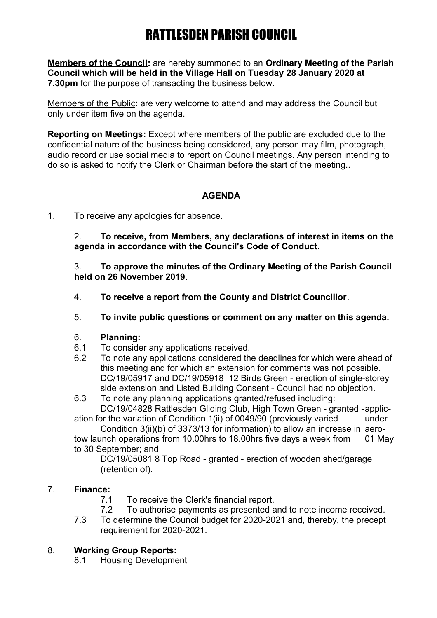**Members of the Council:** are hereby summoned to an **Ordinary Meeting of the Parish Council which will be held in the Village Hall on Tuesday 28 January 2020 at 7.30pm** for the purpose of transacting the business below.

Members of the Public: are very welcome to attend and may address the Council but only under item five on the agenda.

**Reporting on Meetings:** Except where members of the public are excluded due to the confidential nature of the business being considered, any person may film, photograph, audio record or use social media to report on Council meetings. Any person intending to do so is asked to notify the Clerk or Chairman before the start of the meeting..

## **AGENDA**

1. To receive any apologies for absence.

2. **To receive, from Members, any declarations of interest in items on the agenda in accordance with the Council's Code of Conduct.**

3. **To approve the minutes of the Ordinary Meeting of the Parish Council held on 26 November 2019.**

- 4. **To receive a report from the County and District Councillor**.
- 5. **To invite public questions or comment on any matter on this agenda.**

#### 6. **Planning:**

- 6.1 To consider any applications received.
- 6.2 To note any applications considered the deadlines for which were ahead of this meeting and for which an extension for comments was not possible. DC/19/05917 and DC/19/05918 12 Birds Green - erection of single-storey side extension and Listed Building Consent - Council had no objection.
- 6.3 To note any planning applications granted/refused including: DC/19/04828 Rattlesden Gliding Club, High Town Green - granted -applic-

ation for the variation of Condition 1(ii) of 0049/90 (previously varied under Condition 3(ii)(b) of 3373/13 for information) to allow an increase in aero-

tow launch operations from 10.00hrs to 18.00hrs five days a week from 01 May to 30 September; and

DC/19/05081 8 Top Road - granted - erection of wooden shed/garage (retention of).

### 7. **Finance:**

- 7.1 To receive the Clerk's financial report.
- 7.2 To authorise payments as presented and to note income received.
- 7.3 To determine the Council budget for 2020-2021 and, thereby, the precept requirement for 2020-2021.

### 8. **Working Group Reports:**

8.1 Housing Development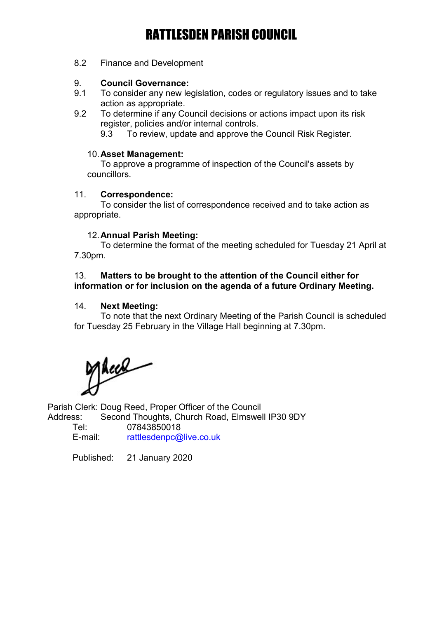8.2 Finance and Development

#### 9. **Council Governance:**

- 9.1 To consider any new legislation, codes or regulatory issues and to take action as appropriate.
- 9.2 To determine if any Council decisions or actions impact upon its risk register, policies and/or internal controls.

9.3 To review, update and approve the Council Risk Register.

#### 10.**Asset Management:**

To approve a programme of inspection of the Council's assets by councillors.

#### 11. **Correspondence:**

To consider the list of correspondence received and to take action as appropriate.

#### 12.**Annual Parish Meeting:**

To determine the format of the meeting scheduled for Tuesday 21 April at 7.30pm.

#### 13. **Matters to be brought to the attention of the Council either for information or for inclusion on the agenda of a future Ordinary Meeting.**

#### 14. **Next Meeting:**

To note that the next Ordinary Meeting of the Parish Council is scheduled for Tuesday 25 February in the Village Hall beginning at 7.30pm.

Meas

Parish Clerk: Doug Reed, Proper Officer of the Council Address: Second Thoughts, Church Road, Elmswell IP30 9DY

Tel: 07843850018 E-mail: [rattlesdenpc@live.co.uk](mailto:rattlesdenpc@live.co.uk)

Published: 21 January 2020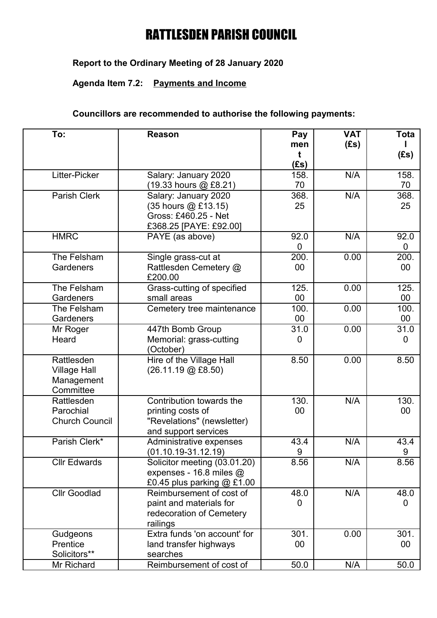# **Report to the Ordinary Meeting of 28 January 2020**

# **Agenda Item 7.2: Payments and Income**

# **Councillors are recommended to authorise the following payments:**

| To:                                                          | <b>Reason</b>                                                                                       | Pay<br>men<br>t<br>(Es) | <b>VAT</b><br>(Es) | <b>Tota</b><br>(Es)    |
|--------------------------------------------------------------|-----------------------------------------------------------------------------------------------------|-------------------------|--------------------|------------------------|
| Litter-Picker                                                | Salary: January 2020<br>(19.33 hours @ £8.21)                                                       | 158.<br>70              | N/A                | 158.<br>70             |
| Parish Clerk                                                 | Salary: January 2020<br>(35 hours @ £13.15)<br>Gross: £460.25 - Net<br>£368.25 [PAYE: £92.00]       | 368.<br>25              | N/A                | 368.<br>25             |
| <b>HMRC</b>                                                  | PAYE (as above)                                                                                     | 92.0<br>$\overline{0}$  | N/A                | 92.0<br>0              |
| The Felsham<br>Gardeners                                     | Single grass-cut at<br>Rattlesden Cemetery @<br>£200.00                                             | 200.<br>00              | 0.00               | 200.<br>00             |
| The Felsham<br>Gardeners                                     | Grass-cutting of specified<br>small areas                                                           | 125.<br>00              | 0.00               | 125.<br>$00\,$         |
| The Felsham<br>Gardeners                                     | Cemetery tree maintenance                                                                           | 100.<br>00              | 0.00               | 100.<br>00             |
| Mr Roger<br>Heard                                            | 447th Bomb Group<br>Memorial: grass-cutting<br>(October)                                            | 31.0<br>0               | 0.00               | 31.0<br>$\overline{0}$ |
| Rattlesden<br><b>Village Hall</b><br>Management<br>Committee | Hire of the Village Hall<br>$(26.11.19 \text{ @ } £8.50)$                                           | 8.50                    | 0.00               | 8.50                   |
| Rattlesden<br>Parochial<br><b>Church Council</b>             | Contribution towards the<br>printing costs of<br>"Revelations" (newsletter)<br>and support services | 130.<br>00              | N/A                | 130.<br>00             |
| Parish Clerk*                                                | Administrative expenses<br>(01.10.19-31.12.19)                                                      | 43.4<br>9               | N/A                | 43.4<br>9              |
| <b>Cllr Edwards</b>                                          | Solicitor meeting (03.01.20)<br>expenses - 16.8 miles $@$<br>£0.45 plus parking @ £1.00             | 8.56                    | N/A                | 8.56                   |
| <b>Cllr Goodlad</b>                                          | Reimbursement of cost of<br>paint and materials for<br>redecoration of Cemetery<br>railings         | 48.0<br>0               | N/A                | 48.0<br>0              |
| Gudgeons<br>Prentice<br>Solicitors**                         | Extra funds 'on account' for<br>land transfer highways<br>searches                                  | 301.<br>00              | 0.00               | 301.<br>00             |
| Mr Richard                                                   | Reimbursement of cost of                                                                            | 50.0                    | N/A                | 50.0                   |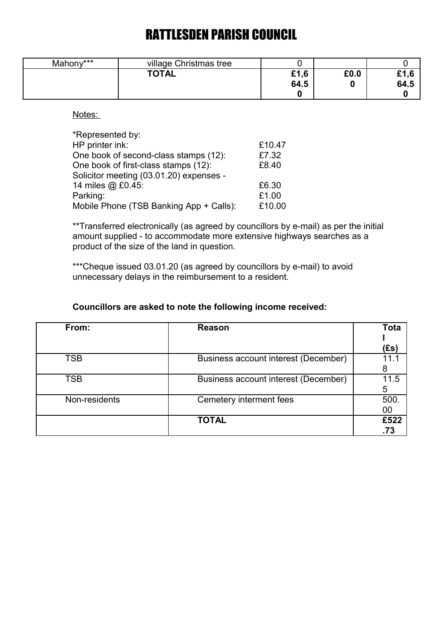| Mahony*** | village Christmas tree |      |      |      |
|-----------|------------------------|------|------|------|
|           | <b>TOTAL</b>           | £1,6 | £0.0 | £1,6 |
|           |                        | 64.5 |      | 64.5 |
|           |                        |      |      |      |

Notes:

| *Represented by:                        |        |
|-----------------------------------------|--------|
| HP printer ink:                         | £10.47 |
| One book of second-class stamps (12):   | £7.32  |
| One book of first-class stamps (12):    | £8.40  |
| Solicitor meeting (03.01.20) expenses - |        |
| 14 miles @ £0.45:                       | £6.30  |
| Parking:                                | £1.00  |
| Mobile Phone (TSB Banking App + Calls): | £10.00 |

\*\*Transferred electronically (as agreed by councillors by e-mail) as per the initial amount supplied - to accommodate more extensive highways searches as a product of the size of the land in question.

\*\*\*Cheque issued 03.01.20 (as agreed by councillors by e-mail) to avoid unnecessary delays in the reimbursement to a resident.

| From:         | Reason                               | Tota |
|---------------|--------------------------------------|------|
|               |                                      |      |
|               |                                      | (Es) |
| <b>TSB</b>    | Business account interest (December) |      |
|               |                                      | 8    |
| TSB           | Business account interest (December) | 11.5 |
|               |                                      | 5    |
| Non-residents | Cemetery interment fees              | 500. |
|               |                                      | 00   |
|               | <b>TOTAL</b>                         | £522 |
|               |                                      | .73  |

### **Councillors are asked to note the following income received:**